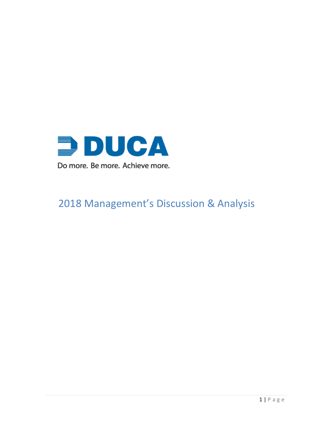

# Management's Discussion & Analysis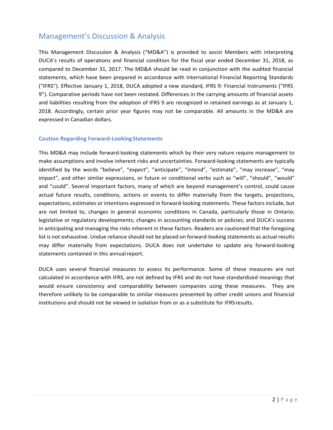# Management's Discussion & Analysis

This Management Discussion & Analysis ("MD&A") is provided to assist Members with interpreting DUCA's results of operations and financial condition for the fiscal year ended December 31, 2018, as compared to December 31, 2017. The MD&A should be read in conjunction with the audited financial statements, which have been prepared in accordance with International Financial Reporting Standards ("IFRS"). Effective January 1, 2018, DUCA adopted a new standard, IFRS 9: Financial Instruments ("IFRS 9"). Comparative periods have not been restated. Differences in the carrying amounts of financial assets and liabilities resulting from the adoption of IFRS 9 are recognized in retained earnings as at January 1, 2018. Accordingly, certain prior year figures may not be comparable. All amounts in the MD&A are expressed in Canadian dollars.

### **Caution Regarding Forward-LookingStatements**

This MD&A may include forward-looking statements which by their very nature require management to make assumptions and involve inherent risks and uncertainties. Forward-looking statements are typically identified by the words "believe", "expect", "anticipate", "intend", "estimate", "may increase", "may impact", and other similar expressions, or future or conditional verbs such as "will", "should", "would" and "could". Several important factors, many of which are beyond management's control, could cause actual future results, conditions, actions or events to differ materially from the targets, projections, expectations, estimates or intentions expressed in forward-looking statements. These factors include, but are not limited to, changes in general economic conditions in Canada, particularly those in Ontario; legislative or regulatory developments; changes in accounting standards or policies; and DUCA's success in anticipating and managing the risks inherent in these factors. Readers are cautioned that the foregoing list is not exhaustive. Undue reliance should not be placed on forward-looking statements as actual results may differ materially from expectations. DUCA does not undertake to update any forward-looking statements contained in this annual report.

DUCA uses several financial measures to assess its performance. Some of these measures are not calculated in accordance with IFRS, are not defined by IFRS and do not have standardized meanings that would ensure consistency and comparability between companies using these measures. They are therefore unlikely to be comparable to similar measures presented by other credit unions and financial institutions and should not be viewed in isolation from or as a substitute for IFRSresults.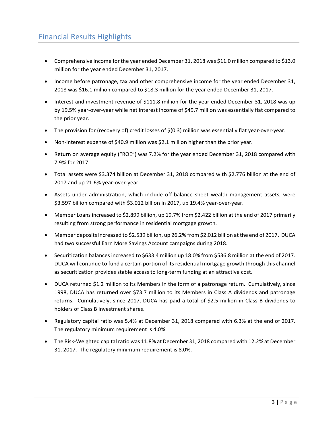- Comprehensive income for the year ended December 31, 2018 was \$11.0 million compared to \$13.0 million for the year ended December 31, 2017.
- Income before patronage, tax and other comprehensive income for the year ended December 31, 2018 was \$16.1 million compared to \$18.3 million for the year ended December 31, 2017.
- Interest and investment revenue of \$111.8 million for the year ended December 31, 2018 was up by 19.5% year-over-year while net interest income of \$49.7 million was essentially flat compared to the prior year.
- The provision for (recovery of) credit losses of \$(0.3) million was essentially flat year-over-year.
- Non-interest expense of \$40.9 million was \$2.1 million higher than the prior year.
- Return on average equity ("ROE") was 7.2% for the year ended December 31, 2018 compared with 7.9% for 2017.
- Total assets were \$3.374 billion at December 31, 2018 compared with \$2.776 billion at the end of 2017 and up 21.6% year-over-year.
- Assets under administration, which include off-balance sheet wealth management assets, were \$3.597 billion compared with \$3.012 billion in 2017, up 19.4% year-over-year.
- Member Loans increased to \$2.899 billion, up 19.7% from \$2.422 billion at the end of 2017 primarily resulting from strong performance in residential mortgage growth.
- Member deposits increased to \$2.539 billion, up 26.2% from \$2.012 billion at the end of 2017. DUCA had two successful Earn More Savings Account campaigns during 2018.
- Securitization balances increased to \$633.4 million up 18.0% from \$536.8 million at the end of 2017. DUCA will continue to fund a certain portion of its residential mortgage growth through this channel as securitization provides stable access to long-term funding at an attractive cost.
- DUCA returned \$1.2 million to its Members in the form of a patronage return. Cumulatively, since 1998, DUCA has returned over \$73.7 million to its Members in Class A dividends and patronage returns. Cumulatively, since 2017, DUCA has paid a total of \$2.5 million in Class B dividends to holders of Class B investment shares.
- Regulatory capital ratio was 5.4% at December 31, 2018 compared with 6.3% at the end of 2017. The regulatory minimum requirement is 4.0%.
- The Risk-Weighted capital ratio was 11.8% at December 31, 2018 compared with 12.2% at December 31, 2017. The regulatory minimum requirement is 8.0%.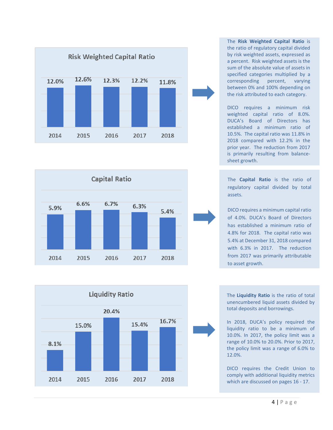



The **Risk Weighted Capital Ratio** is the ratio of regulatory capital divided by risk weighted assets, expressed as a percent. Risk weighted assets is the sum of the absolute value of assets in specified categories multiplied by a corresponding percent, varying between 0% and 100% depending on the risk attributed to each category.

DICO requires a minimum risk weighted capital ratio of 8.0%. DUCA's Board of Directors has established a minimum ratio of 10.5%. The capital ratio was 11.8% in 2018 compared with 12.2% in the prior year. The reduction from 2017 is primarily resulting from balancesheet growth.

The **Capital Ratio** is the ratio of regulatory capital divided by total assets.

DICO requires a minimum capital ratio of 4.0%. DUCA's Board of Directors has established a minimum ratio of 4.8% for 2018. The capital ratio was 5.4% at December 31, 2018 compared with 6.3% in 2017. The reduction from 2017 was primarily attributable to asset growth.



In 2018, DUCA's policy required the liquidity ratio to be a minimum of 10.0%. In 2017, the policy limit was a range of 10.0% to 20.0%. Prior to 2017, the policy limit was a range of 6.0% to 12.0%.

DICO requires the Credit Union to comply with additional liquidity metrics which are discussed on pages 16 - 17.

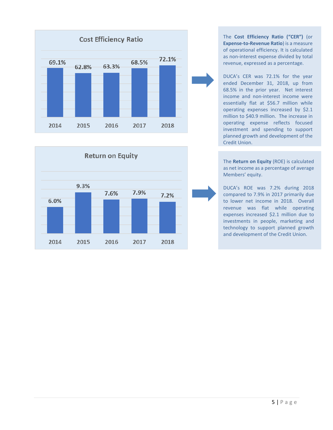



The **Cost Efficiency Ratio ("CER")** (or **Expense-to-Revenue Ratio**) is a measure of operational efficiency. It is calculated as non-interest expense divided by total revenue, expressed as a percentage.

DUCA's CER was 72.1% for the year ended December 31, 2018, up from 68.5% in the prior year. Net interest income and non-interest income were essentially flat at \$56.7 million while operating expenses increased by \$2.1 million to \$40.9 million. The increase in operating expense reflects focused investment and spending to support planned growth and development of the Credit Union.

The **Return on Equity** (ROE) is calculated as net income as a percentage of average Members' equity.

DUCA's ROE was 7.2% during 2018 compared to 7.9% in 2017 primarily due to lower net income in 2018. Overall revenue was flat while operating expenses increased \$2.1 million due to investments in people, marketing and technology to support planned growth and development of the Credit Union.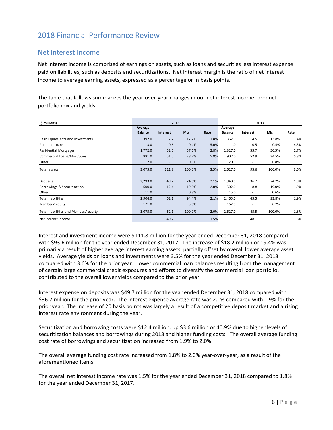# 2018 Financial Performance Review

### Net Interest Income

Net interest income is comprised of earnings on assets, such as loans and securities less interest expense paid on liabilities, such as deposits and securitizations. Net interest margin is the ratio of net interest income to average earning assets, expressed as a percentage or in basis points.

The table that follows summarizes the year-over-year changes in our net interest income, product portfolio mix and yields.

| (\$ millions)                         | 2018                      |                          |        | 2017 |                           |                          |        |      |
|---------------------------------------|---------------------------|--------------------------|--------|------|---------------------------|--------------------------|--------|------|
|                                       | Average<br><b>Balance</b> | Interest                 | Mix    | Rate | Average<br><b>Balance</b> | <b>Interest</b>          | Mix    | Rate |
| Cash Equivalents and Investments      | 392.0                     | 7.2                      | 12.7%  | 1.8% | 362.0                     | 4.5                      | 13.8%  | 1.4% |
| Personal Loans                        | 13.0                      | 0.6                      | 0.4%   | 5.0% | 11.0                      | 0.5                      | 0.4%   | 4.3% |
| Residential Mortgages                 | 1,772.0                   | 52.5                     | 57.6%  | 2.8% | 1,327.0                   | 35.7                     | 50.5%  | 2.7% |
| Commercial Loans/Mortgages            | 881.0                     | 51.5                     | 28.7%  | 5.8% | 907.0                     | 52.9                     | 34.5%  | 5.8% |
| Other                                 | 17.0                      | $\overline{\phantom{a}}$ | 0.6%   |      | 20.0                      | $\overline{\phantom{a}}$ | 0.8%   |      |
| Total assets                          | 3,075.0                   | 111.8                    | 100.0% | 3.5% | 2,627.0                   | 93.6                     | 100.0% | 3.6% |
|                                       |                           |                          |        |      |                           |                          |        |      |
| Deposits                              | 2,293.0                   | 49.7                     | 74.6%  | 2.1% | 1,948.0                   | 36.7                     | 74.2%  | 1.9% |
| Borrowings & Securitization           | 600.0                     | 12.4                     | 19.5%  | 2.0% | 502.0                     | 8.8                      | 19.0%  | 1.9% |
| Other                                 | 11.0                      | $\overline{\phantom{0}}$ | 0.3%   |      | 15.0                      |                          | 0.6%   |      |
| <b>Total liabilities</b>              | 2,904.0                   | 62.1                     | 94.4%  | 2.1% | 2,465.0                   | 45.5                     | 93.8%  | 1.9% |
| Members' equity                       | 171.0                     | $\blacksquare$           | 5.6%   |      | 162.0                     | $\overline{\phantom{a}}$ | 6.2%   |      |
| Total liabilities and Members' equity | 3,075.0                   | 62.1                     | 100.0% | 2.0% | 2,627.0                   | 45.5                     | 100.0% | 1.8% |
| Net Interest Income                   |                           | 49.7                     |        | 1.5% |                           | 48.1                     |        | 1.8% |

Interest and investment income were \$111.8 million for the year ended December 31, 2018 compared with \$93.6 million for the year ended December 31, 2017. The increase of \$18.2 million or 19.4% was primarily a result of higher average interest earning assets, partially offset by overall lower average asset yields. Average yields on loans and investments were 3.5% for the year ended December 31, 2018 compared with 3.6% for the prior year. Lower commercial loan balances resulting from the management of certain large commercial credit exposures and efforts to diversify the commercial loan portfolio, contributed to the overall lower yields compared to the prior year.

Interest expense on deposits was \$49.7 million for the year ended December 31, 2018 compared with \$36.7 million for the prior year. The interest expense average rate was 2.1% compared with 1.9% for the prior year. The increase of 20 basis points was largely a result of a competitive deposit market and a rising interest rate environment during the year.

Securitization and borrowing costs were \$12.4 million, up \$3.6 million or 40.9% due to higher levels of securitization balances and borrowings during 2018 and higher funding costs. The overall average funding cost rate of borrowings and securitization increased from 1.9% to 2.0%.

The overall average funding cost rate increased from 1.8% to 2.0% year-over-year, as a result of the aforementioned items.

The overall net interest income rate was 1.5% for the year ended December 31, 2018 compared to 1.8% for the year ended December 31, 2017.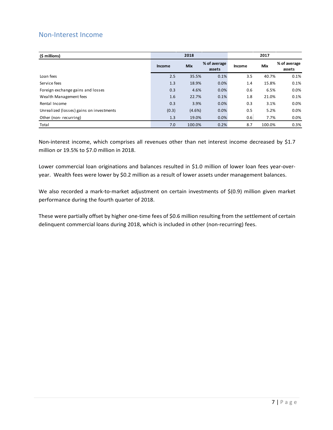### Non-Interest Income

| (\$ millions)                            |        | 2018       |                        |        | 2017       |                        |  |  |
|------------------------------------------|--------|------------|------------------------|--------|------------|------------------------|--|--|
|                                          | Income | <b>Mix</b> | % of average<br>assets | Income | <b>Mix</b> | % of average<br>assets |  |  |
| Loan fees                                | 2.5    | 35.5%      | 0.1%                   | 3.5    | 40.7%      | 0.1%                   |  |  |
| Service fees                             | 1.3    | 18.9%      | 0.0%                   | 1.4    | 15.8%      | 0.1%                   |  |  |
| Foreign exchange gains and losses        | 0.3    | 4.6%       | 0.0%                   | 0.6    | 6.5%       | $0.0\%$                |  |  |
| Wealth Management fees                   | 1.6    | 22.7%      | 0.1%                   | 1.8    | 21.0%      | 0.1%                   |  |  |
| Rental Income                            | 0.3    | 3.9%       | 0.0%                   | 0.3    | 3.1%       | 0.0%                   |  |  |
| Unrealized (losses) gains on investments | (0.3)  | $(4.6\%)$  | 0.0%                   | 0.5    | 5.2%       | $0.0\%$                |  |  |
| Other (non-recurring)                    | 1.3    | 19.0%      | 0.0%                   | 0.6    | 7.7%       | $0.0\%$                |  |  |
| Total                                    | 7.0    | 100.0%     | 0.2%                   | 8.7    | 100.0%     | 0.3%                   |  |  |

Non-interest income, which comprises all revenues other than net interest income decreased by \$1.7 million or 19.5% to \$7.0 million in 2018.

Lower commercial loan originations and balances resulted in \$1.0 million of lower loan fees year-overyear. Wealth fees were lower by \$0.2 million as a result of lower assets under management balances.

We also recorded a mark-to-market adjustment on certain investments of \$(0.9) million given market performance during the fourth quarter of 2018.

These were partially offset by higher one-time fees of \$0.6 million resulting from the settlement of certain delinquent commercial loans during 2018, which is included in other (non-recurring) fees.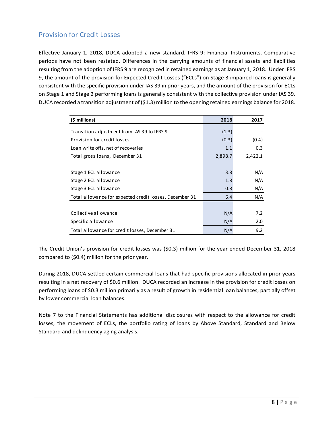### Provision for Credit Losses

Effective January 1, 2018, DUCA adopted a new standard, IFRS 9: Financial Instruments. Comparative periods have not been restated. Differences in the carrying amounts of financial assets and liabilities resulting from the adoption of IFRS 9 are recognized in retained earnings as at January 1, 2018. Under IFRS 9, the amount of the provision for Expected Credit Losses ("ECLs") on Stage 3 impaired loans is generally consistent with the specific provision under IAS 39 in prior years, and the amount of the provision for ECLs on Stage 1 and Stage 2 performing loans is generally consistent with the collective provision under IAS 39. DUCA recorded a transition adjustment of (\$1.3) million to the opening retained earnings balance for 2018.

| (\$ millions)                                           | 2018    | 2017    |
|---------------------------------------------------------|---------|---------|
| Transition adjustment from IAS 39 to IFRS 9             | (1.3)   |         |
| Provision for credit losses                             | (0.3)   | (0.4)   |
| Loan write offs, net of recoveries                      | 1.1     | 0.3     |
| Total gross loans, December 31                          | 2,898.7 | 2,422.1 |
|                                                         |         |         |
| Stage 1 ECL allowance                                   | 3.8     | N/A     |
| Stage 2 ECL allowance                                   | 1.8     | N/A     |
| Stage 3 ECL allowance                                   | 0.8     | N/A     |
| Total allowance for expected credit losses, December 31 | 6.4     | N/A     |
|                                                         |         |         |
| Collective allowance                                    | N/A     | 7.2     |
| Specific allowance                                      | N/A     | 2.0     |
| Total allowance for credit losses, December 31          | N/A     | 9.2     |

The Credit Union's provision for credit losses was (\$0.3) million for the year ended December 31, 2018 compared to (\$0.4) million for the prior year.

During 2018, DUCA settled certain commercial loans that had specific provisions allocated in prior years resulting in a net recovery of \$0.6 million. DUCA recorded an increase in the provision for credit losses on performing loans of \$0.3 million primarily as a result of growth in residential loan balances, partially offset by lower commercial loan balances.

Note 7 to the Financial Statements has additional disclosures with respect to the allowance for credit losses, the movement of ECLs, the portfolio rating of loans by Above Standard, Standard and Below Standard and delinquency aging analysis.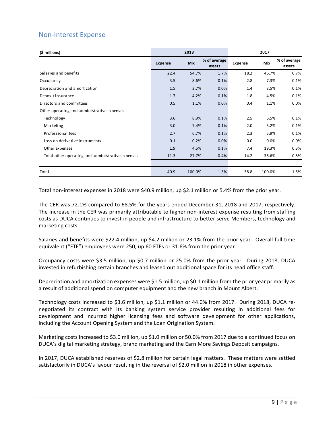### Non-Interest Expense

| (\$ millions)                                     |                | 2018       |                        |         | 2017       |                        |
|---------------------------------------------------|----------------|------------|------------------------|---------|------------|------------------------|
|                                                   | <b>Expense</b> | <b>Mix</b> | % of average<br>assets | Expense | <b>Mix</b> | % of average<br>assets |
| Salaries and benefits                             | 22.4           | 54.7%      | 1.7%                   | 18.2    | 46.7%      | 0.7%                   |
| Occupancy                                         | 3.5            | 8.6%       | 0.1%                   | 2.8     | 7.3%       | 0.1%                   |
| Depreciation and amortization                     | 1.5            | 3.7%       | 0.0%                   | 1.4     | 3.5%       | 0.1%                   |
| Deposit insurance                                 | 1.7            | 4.2%       | 0.1%                   | 1.8     | 4.5%       | 0.1%                   |
| Directors and committees                          | 0.5            | 1.1%       | 0.0%                   | 0.4     | 1.1%       | 0.0%                   |
| Other operating and administrative expenses       |                |            |                        |         |            |                        |
| Technology                                        | 3.6            | 8.9%       | 0.1%                   | 2.5     | 6.5%       | 0.1%                   |
| Marketing                                         | 3.0            | 7.4%       | 0.1%                   | 2.0     | 5.2%       | 0.1%                   |
| Professional fees                                 | 2.7            | 6.7%       | 0.1%                   | 2.3     | 5.9%       | 0.1%                   |
| Loss on derivative instruments                    | 0.1            | 0.2%       | 0.0%                   | 0.0     | 0.0%       | 0.0%                   |
| Other expenses                                    | 1.9            | 4.5%       | 0.1%                   | 7.4     | 19.3%      | 0.3%                   |
| Total other operating and administrative expenses | 11.3           | 27.7%      | 0.4%                   | 14.2    | 36.6%      | 0.5%                   |
|                                                   |                |            |                        |         |            |                        |
| Total                                             | 40.9           | 100.0%     | 1.3%                   | 38.8    | 100.0%     | 1.5%                   |

Total non-interest expenses in 2018 were \$40.9 million, up \$2.1 million or 5.4% from the prior year.

The CER was 72.1% compared to 68.5% for the years ended December 31, 2018 and 2017, respectively. The increase in the CER was primarily attributable to higher non-interest expense resulting from staffing costs as DUCA continues to invest in people and infrastructure to better serve Members, technology and marketing costs.

Salaries and benefits were \$22.4 million, up \$4.2 million or 23.1% from the prior year. Overall full-time equivalent ("FTE") employees were 250, up 60 FTEs or 31.6% from the prior year.

Occupancy costs were \$3.5 million, up \$0.7 million or 25.0% from the prior year. During 2018, DUCA invested in refurbishing certain branches and leased out additional space for its head office staff.

Depreciation and amortization expenses were \$1.5 million, up \$0.1 million from the prior year primarily as a result of additional spend on computer equipment and the new branch in Mount Albert.

Technology costs increased to \$3.6 million, up \$1.1 million or 44.0% from 2017. During 2018, DUCA renegotiated its contract with its banking system service provider resulting in additional fees for development and incurred higher licensing fees and software development for other applications, including the Account Opening System and the Loan Origination System.

Marketing costs increased to \$3.0 million, up \$1.0 million or 50.0% from 2017 due to a continued focus on DUCA's digital marketing strategy, brand marketing and the Earn More Savings Deposit campaigns.

In 2017, DUCA established reserves of \$2.8 million for certain legal matters. These matters were settled satisfactorily in DUCA's favour resulting in the reversal of \$2.0 million in 2018 in other expenses.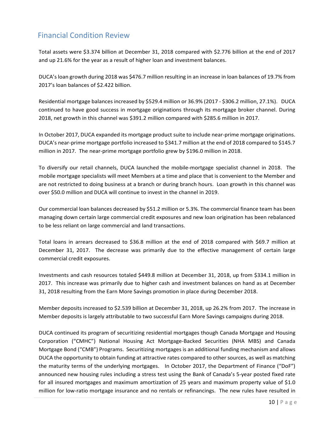# Financial Condition Review

Total assets were \$3.374 billion at December 31, 2018 compared with \$2.776 billion at the end of 2017 and up 21.6% for the year as a result of higher loan and investment balances.

DUCA's loan growth during 2018 was \$476.7 million resulting in an increase in loan balances of 19.7% from 2017's loan balances of \$2.422 billion.

Residential mortgage balances increased by \$529.4 million or 36.9% (2017 - \$306.2 million, 27.1%). DUCA continued to have good success in mortgage originations through its mortgage broker channel. During 2018, net growth in this channel was \$391.2 million compared with \$285.6 million in 2017.

In October 2017, DUCA expanded its mortgage product suite to include near-prime mortgage originations. DUCA's near-prime mortgage portfolio increased to \$341.7 million at the end of 2018 compared to \$145.7 million in 2017. The near-prime mortgage portfolio grew by \$196.0 million in 2018.

To diversify our retail channels, DUCA launched the mobile-mortgage specialist channel in 2018. The mobile mortgage specialists will meet Members at a time and place that is convenient to the Member and are not restricted to doing business at a branch or during branch hours. Loan growth in this channel was over \$50.0 million and DUCA will continue to invest in the channel in 2019.

Our commercial loan balances decreased by \$51.2 million or 5.3%. The commercial finance team has been managing down certain large commercial credit exposures and new loan origination has been rebalanced to be less reliant on large commercial and land transactions.

Total loans in arrears decreased to \$36.8 million at the end of 2018 compared with \$69.7 million at December 31, 2017. The decrease was primarily due to the effective management of certain large commercial credit exposures.

Investments and cash resources totaled \$449.8 million at December 31, 2018, up from \$334.1 million in 2017. This increase was primarily due to higher cash and investment balances on hand as at December 31, 2018 resulting from the Earn More Savings promotion in place during December 2018.

Member deposits increased to \$2.539 billion at December 31, 2018, up 26.2% from 2017. The increase in Member deposits is largely attributable to two successful Earn More Savings campaigns during 2018.

DUCA continued its program of securitizing residential mortgages though Canada Mortgage and Housing Corporation ("CMHC") National Housing Act Mortgage-Backed Securities (NHA MBS) and Canada Mortgage Bond ("CMB") Programs. Securitizing mortgages is an additional funding mechanism and allows DUCA the opportunity to obtain funding at attractive rates compared to other sources, as well as matching the maturity terms of the underlying mortgages. In October 2017, the Department of Finance ("DoF") announced new housing rules including a stress test using the Bank of Canada's 5-year posted fixed rate for all insured mortgages and maximum amortization of 25 years and maximum property value of \$1.0 million for low-ratio mortgage insurance and no rentals or refinancings. The new rules have resulted in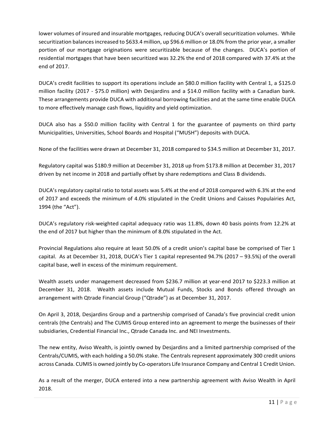lower volumes of insured and insurable mortgages, reducing DUCA's overall securitization volumes. While securitization balances increased to \$633.4 million, up \$96.6 million or 18.0% from the prior year, a smaller portion of our mortgage originations were securitizable because of the changes. DUCA's portion of residential mortgages that have been securitized was 32.2% the end of 2018 compared with 37.4% at the end of 2017.

DUCA's credit facilities to support its operations include an \$80.0 million facility with Central 1, a \$125.0 million facility (2017 - \$75.0 million) with Desjardins and a \$14.0 million facility with a Canadian bank. These arrangements provide DUCA with additional borrowing facilities and at the same time enable DUCA to more effectively manage cash flows, liquidity and yield optimization.

DUCA also has a \$50.0 million facility with Central 1 for the guarantee of payments on third party Municipalities, Universities, School Boards and Hospital ("MUSH") deposits with DUCA.

None of the facilities were drawn at December 31, 2018 compared to \$34.5 million at December 31, 2017.

Regulatory capital was \$180.9 million at December 31, 2018 up from \$173.8 million at December 31, 2017 driven by net income in 2018 and partially offset by share redemptions and Class B dividends.

DUCA's regulatory capital ratio to total assets was 5.4% at the end of 2018 compared with 6.3% at the end of 2017 and exceeds the minimum of 4.0% stipulated in the Credit Unions and Caisses Populairies Act, 1994 (the "Act").

DUCA's regulatory risk-weighted capital adequacy ratio was 11.8%, down 40 basis points from 12.2% at the end of 2017 but higher than the minimum of 8.0% stipulated in the Act.

Provincial Regulations also require at least 50.0% of a credit union's capital base be comprised of Tier 1 capital. As at December 31, 2018, DUCA's Tier 1 capital represented 94.7% (2017 – 93.5%) of the overall capital base, well in excess of the minimum requirement.

Wealth assets under management decreased from \$236.7 million at year-end 2017 to \$223.3 million at December 31, 2018. Wealth assets include Mutual Funds, Stocks and Bonds offered through an arrangement with Qtrade Financial Group ("Qtrade") as at December 31, 2017.

On April 3, 2018, Desjardins Group and a partnership comprised of Canada's five provincial credit union centrals (the Centrals) and The CUMIS Group entered into an agreement to merge the businesses of their subsidiaries, Credential Financial Inc., Qtrade Canada Inc. and NEI Investments.

The new entity, Aviso Wealth, is jointly owned by Desjardins and a limited partnership comprised of the Centrals/CUMIS, with each holding a 50.0% stake. The Centrals represent approximately 300 credit unions across Canada. CUMIS is owned jointly by Co-operators Life Insurance Company and Central 1 Credit Union.

As a result of the merger, DUCA entered into a new partnership agreement with Aviso Wealth in April 2018.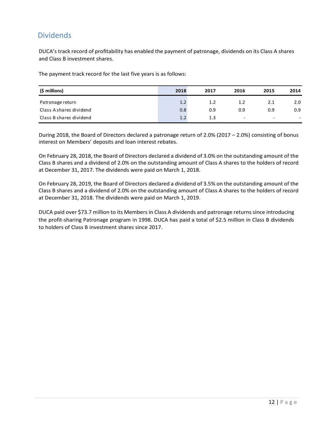## **Dividends**

DUCA's track record of profitability has enabled the payment of patronage, dividends on its Class A shares and Class B investment shares.

The payment track record for the last five years is as follows:

| (\$ millions)           | 2018 | 2017 | 2016                     | 2015                     | 2014 |
|-------------------------|------|------|--------------------------|--------------------------|------|
| Patronage return        | 1.2  | 1.2  | 1.2                      | 2.1                      | 2.0  |
| Class A shares dividend | 0.8  | 0.9  | 0.9                      | 0.9                      | 0.9  |
| Class B shares dividend | 1.2  | 1.3  | $\overline{\phantom{a}}$ | $\overline{\phantom{a}}$ |      |

During 2018, the Board of Directors declared a patronage return of 2.0% (2017 – 2.0%) consisting of bonus interest on Members' deposits and loan interest rebates.

On February 28, 2018, the Board of Directors declared a dividend of 3.0% on the outstanding amount of the Class B shares and a dividend of 2.0% on the outstanding amount of Class A shares to the holders of record at December 31, 2017. The dividends were paid on March 1, 2018.

On February 28, 2019, the Board of Directors declared a dividend of 3.5% on the outstanding amount of the Class B shares and a dividend of 2.0% on the outstanding amount of Class A shares to the holders of record at December 31, 2018. The dividends were paid on March 1, 2019.

DUCA paid over \$73.7 million to its Members in Class A dividends and patronage returns since introducing the profit-sharing Patronage program in 1998. DUCA has paid a total of \$2.5 million in Class B dividends to holders of Class B investment shares since 2017.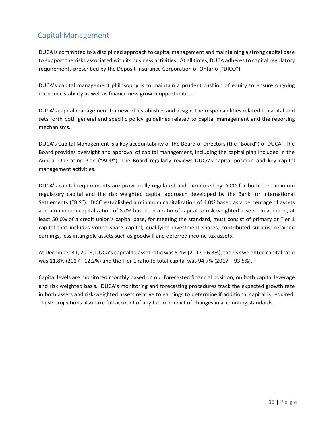# Capital Management

DUCA is committed to a disciplined approach to capital management and maintaining a strong capital base to support the risks associated with its business activities. At all times, DUCA adheres to capital regulatory requirements prescribed by the Deposit Insurance Corporation of Ontario ("DICO").

DUCA's capital management philosophy is to maintain a prudent cushion of equity to ensure ongoing economic stability as well as finance new growth opportunities.

DUCA's capital management framework establishes and assigns the responsibilities related to capital and sets forth both general and specific policy guidelines related to capital management and the reporting mechanisms.

DUCA's Capital Management is a key accountability of the Board of Directors (the "Board") of DUCA. The Board provides oversight and approval of capital management, including the capital plan included in the Annual Operating Plan ("AOP"). The Board regularly reviews DUCA's capital position and key capital management activities.

DUCA's capital requirements are provincially regulated and monitored by DICO for both the minimum regulatory capital and the risk weighted capital approach developed by the Bank for International Settlements ("BIS"). DICO established a minimum capitalization of 4.0% based as a percentage of assets and a minimum capitalization of 8.0% based on a ratio of capital to risk-weighted assets. In addition, at least 50.0% of a credit union's capital base, for meeting the standard, must consist of primary or Tier 1 capital that includes voting share capital, qualifying investment shares, contributed surplus, retained earnings, less intangible assets such as goodwill and deferred income tax assets.

At December 31, 2018, DUCA's capital to asset ratio was 5.4% (2017 – 6.3%), the risk weighted capital ratio was 11.8% (2017 - 12.2%) and the Tier 1 ratio to total capital was 94.7% (2017 – 93.5%).

Capital levels are monitored monthly based on our forecasted financial position, on both capital leverage and risk weighted basis. DUCA's monitoring and forecasting procedures track the expected growth rate in both assets and risk-weighted assets relative to earnings to determine if additional capital is required. These projections also take full account of any future impact of changes in accounting standards.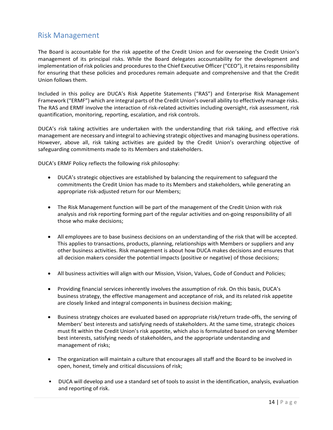### Risk Management

The Board is accountable for the risk appetite of the Credit Union and for overseeing the Credit Union's management of its principal risks. While the Board delegates accountability for the development and implementation of risk policies and procedures to the Chief Executive Officer ("CEO"), it retains responsibility for ensuring that these policies and procedures remain adequate and comprehensive and that the Credit Union follows them.

Included in this policy are DUCA's Risk Appetite Statements ("RAS") and Enterprise Risk Management Framework ("ERMF") which are integral parts of the Credit Union's overall ability to effectively manage risks. The RAS and ERMF involve the interaction of risk-related activities including oversight, risk assessment, risk quantification, monitoring, reporting, escalation, and risk controls.

DUCA's risk taking activities are undertaken with the understanding that risk taking, and effective risk management are necessary and integral to achieving strategic objectives and managing business operations. However, above all, risk taking activities are guided by the Credit Union's overarching objective of safeguarding commitments made to its Members and stakeholders.

DUCA's ERMF Policy reflects the following risk philosophy:

- DUCA's strategic objectives are established by balancing the requirement to safeguard the commitments the Credit Union has made to its Members and stakeholders, while generating an appropriate risk-adjusted return for our Members;
- The Risk Management function will be part of the management of the Credit Union with risk analysis and risk reporting forming part of the regular activities and on-going responsibility of all those who make decisions;
- All employees are to base business decisions on an understanding of the risk that will be accepted. This applies to transactions, products, planning, relationships with Members or suppliers and any other business activities. Risk management is about how DUCA makes decisions and ensures that all decision makers consider the potential impacts (positive or negative) of those decisions;
- All business activities will align with our Mission, Vision, Values, Code of Conduct and Policies;
- Providing financial services inherently involves the assumption of risk. On this basis, DUCA's business strategy, the effective management and acceptance of risk, and its related risk appetite are closely linked and integral components in business decision making;
- Business strategy choices are evaluated based on appropriate risk/return trade-offs, the serving of Members' best interests and satisfying needs of stakeholders. At the same time, strategic choices must fit within the Credit Union's risk appetite, which also is formulated based on serving Member best interests, satisfying needs of stakeholders, and the appropriate understanding and management of risks;
- The organization will maintain a culture that encourages all staff and the Board to be involved in open, honest, timely and critical discussions of risk;
- DUCA will develop and use a standard set of tools to assist in the identification, analysis, evaluation and reporting of risk.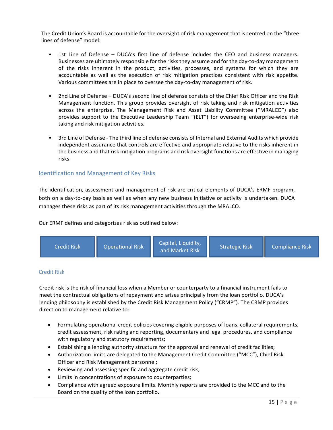The Credit Union's Board is accountable for the oversight of risk management that is centred on the "three lines of defense" model:

- 1st Line of Defense DUCA's first line of defense includes the CEO and business managers. Businesses are ultimately responsible for the risks they assume and for the day-to-day management of the risks inherent in the product, activities, processes, and systems for which they are accountable as well as the execution of risk mitigation practices consistent with risk appetite. Various committees are in place to oversee the day-to-day management of risk.
- 2nd Line of Defense DUCA's second line of defense consists of the Chief Risk Officer and the Risk Management function. This group provides oversight of risk taking and risk mitigation activities across the enterprise. The Management Risk and Asset Liability Committee ("MRALCO") also provides support to the Executive Leadership Team "(ELT") for overseeing enterprise-wide risk taking and risk mitigation activities.
- 3rd Line of Defense The third line of defense consists of Internal and External Audits which provide independent assurance that controls are effective and appropriate relative to the risks inherent in the business and that risk mitigation programs and risk oversight functions are effective in managing risks.

### Identification and Management of Key Risks

The identification, assessment and management of risk are critical elements of DUCA's ERMF program, both on a day-to-day basis as well as when any new business initiative or activity is undertaken. DUCA manages these risks as part of its risk management activities through the MRALCO.

Our ERMF defines and categorizes risk as outlined below:



### Credit Risk

Credit risk is the risk of financial loss when a Member or counterparty to a financial instrument fails to meet the contractual obligations of repayment and arises principally from the loan portfolio. DUCA's lending philosophy is established by the Credit Risk Management Policy ("CRMP"). The CRMP provides direction to management relative to:

- Formulating operational credit policies covering eligible purposes of loans, collateral requirements, credit assessment, risk rating and reporting, documentary and legal procedures, and compliance with regulatory and statutory requirements;
- Establishing a lending authority structure for the approval and renewal of credit facilities;
- Authorization limits are delegated to the Management Credit Committee ("MCC"), Chief Risk Officer and Risk Management personnel;
- Reviewing and assessing specific and aggregate credit risk;
- Limits in concentrations of exposure to counterparties;
- Compliance with agreed exposure limits. Monthly reports are provided to the MCC and to the Board on the quality of the loan portfolio.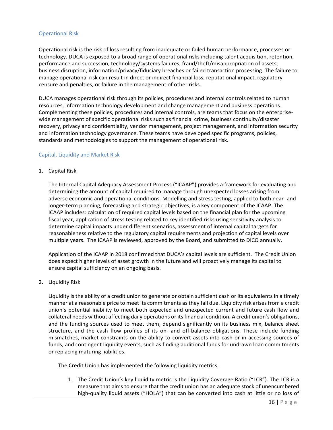#### Operational Risk

Operational risk is the risk of loss resulting from inadequate or failed human performance, processes or technology. DUCA is exposed to a broad range of operational risks including talent acquisition, retention, performance and succession, technology/systems failures, fraud/theft/misappropriation of assets, business disruption, information/privacy/fiduciary breaches or failed transaction processing. The failure to manage operational risk can result in direct or indirect financial loss, reputational impact, regulatory censure and penalties, or failure in the management of other risks.

DUCA manages operational risk through its policies, procedures and internal controls related to human resources, information technology development and change management and business operations. Complementing these policies, procedures and internal controls, are teams that focus on the enterprisewide management of specific operational risks such as financial crime, business continuity/disaster recovery, privacy and confidentiality, vendor management, project management, and information security and information technology governance. These teams have developed specific programs, policies, standards and methodologies to support the management of operational risk.

#### Capital, Liquidity and Market Risk

1. Capital Risk

The Internal Capital Adequacy Assessment Process ("ICAAP") provides a framework for evaluating and determining the amount of capital required to manage through unexpected losses arising from adverse economic and operational conditions. Modelling and stress testing, applied to both near- and longer-term planning, forecasting and strategic objectives, is a key component of the ICAAP. The ICAAP includes: calculation of required capital levels based on the financial plan for the upcoming fiscal year, application of stress testing related to key identified risks using sensitivity analysis to determine capital impacts under different scenarios, assessment of internal capital targets for reasonableness relative to the regulatory capital requirements and projection of capital levels over multiple years. The ICAAP is reviewed, approved by the Board, and submitted to DICO annually.

Application of the ICAAP in 2018 confirmed that DUCA's capital levels are sufficient. The Credit Union does expect higher levels of asset growth in the future and will proactively manage its capital to ensure capital sufficiency on an ongoing basis.

2. Liquidity Risk

Liquidity is the ability of a credit union to generate or obtain sufficient cash or its equivalents in a timely manner at a reasonable price to meet its commitments as they fall due. Liquidity risk arises from a credit union's potential inability to meet both expected and unexpected current and future cash flow and collateral needs without affecting daily operations or its financial condition. A credit union's obligations, and the funding sources used to meet them, depend significantly on its business mix, balance sheet structure, and the cash flow profiles of its on- and off-balance obligations. These include funding mismatches, market constraints on the ability to convert assets into cash or in accessing sources of funds, and contingent liquidity events, such as finding additional funds for undrawn loan commitments or replacing maturing liabilities.

The Credit Union has implemented the following liquidity metrics.

1. The Credit Union's key liquidity metric is the Liquidity Coverage Ratio ("LCR"). The LCR is a measure that aims to ensure that the credit union has an adequate stock of unencumbered high-quality liquid assets ("HQLA") that can be converted into cash at little or no loss of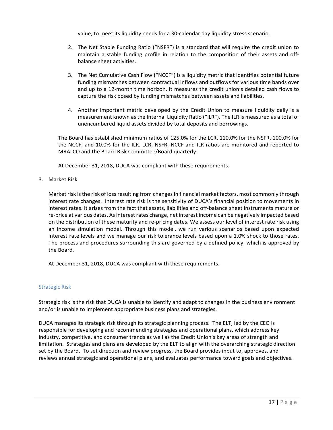value, to meet its liquidity needs for a 30-calendar day liquidity stress scenario.

- 2. The Net Stable Funding Ratio ("NSFR") is a standard that will require the credit union to maintain a stable funding profile in relation to the composition of their assets and offbalance sheet activities.
- 3. The Net Cumulative Cash Flow ("NCCF") is a liquidity metric that identifies potential future funding mismatches between contractual inflows and outflows for various time bands over and up to a 12-month time horizon. It measures the credit union's detailed cash flows to capture the risk posed by funding mismatches between assets and liabilities.
- 4. Another important metric developed by the Credit Union to measure liquidity daily is a measurement known as the Internal Liquidity Ratio ("ILR"). The ILR is measured as a total of unencumbered liquid assets divided by total deposits and borrowings.

The Board has established minimum ratios of 125.0% for the LCR, 110.0% for the NSFR, 100.0% for the NCCF, and 10.0% for the ILR. LCR, NSFR, NCCF and ILR ratios are monitored and reported to MRALCO and the Board Risk Committee/Board quarterly.

At December 31, 2018, DUCA was compliant with these requirements.

3. Market Risk

Market risk is the risk of loss resulting from changes in financial market factors, most commonly through interest rate changes. Interest rate risk is the sensitivity of DUCA's financial position to movements in interest rates. It arises from the fact that assets, liabilities and off-balance sheet instruments mature or re-price at various dates. As interest rates change, net interest income can be negatively impacted based on the distribution of these maturity and re-pricing dates. We assess our level of interest rate risk using an income simulation model. Through this model, we run various scenarios based upon expected interest rate levels and we manage our risk tolerance levels based upon a 1.0% shock to those rates. The process and procedures surrounding this are governed by a defined policy, which is approved by the Board.

At December 31, 2018, DUCA was compliant with these requirements.

### Strategic Risk

Strategic risk is the risk that DUCA is unable to identify and adapt to changes in the business environment and/or is unable to implement appropriate business plans and strategies.

DUCA manages its strategic risk through its strategic planning process. The ELT, led by the CEO is responsible for developing and recommending strategies and operational plans, which address key industry, competitive, and consumer trends as well as the Credit Union's key areas of strength and limitation. Strategies and plans are developed by the ELT to align with the overarching strategic direction set by the Board. To set direction and review progress, the Board provides input to, approves, and reviews annual strategic and operational plans, and evaluates performance toward goals and objectives.